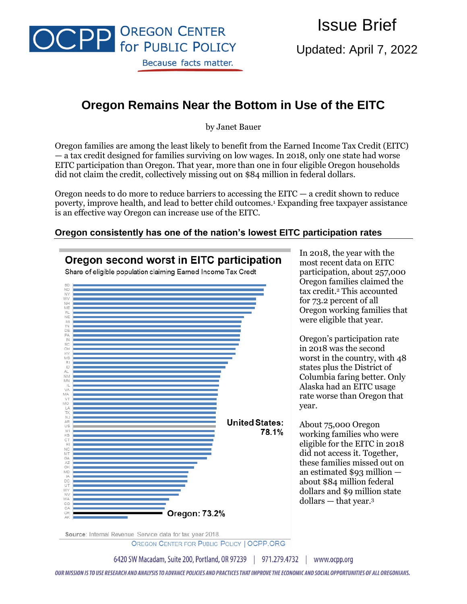

Issue Brief

Updated: April 7, 2022

# **Oregon Remains Near the Bottom in Use of the EITC**

by Janet Bauer

Oregon families are among the least likely to benefit from the Earned Income Tax Credit (EITC) — a tax credit designed for families surviving on low wages. In 2018, only one state had worse EITC participation than Oregon. That year, more than one in four eligible Oregon households did not claim the credit, collectively missing out on \$84 million in federal dollars.

Oregon needs to do more to reduce barriers to accessing the  $EITC - a$  credit shown to reduce poverty, improve health, and lead to better child outcomes.<sup>1</sup> Expanding free taxpayer assistance is an effective way Oregon can increase use of the EITC.

## **Oregon consistently has one of the nation's lowest EITC participation rates**



Source: Internal Revenue Service data for tax year 2018.

OREGON CENTER FOR PUBLIC POLICY | OCPP.ORG

6420 SW Macadam, Suite 200, Portland, OR 97239 | 971.279.4732 | www.ocpp.org

OUR MISSION IS TO USE RESEARCH AND ANALYSIS TO ADVANCE POLICIES AND PRACTICES THAT IMPROVE THE ECONOMIC AND SOCIAL OPPORTUNITIES OF ALL OREGONIANS.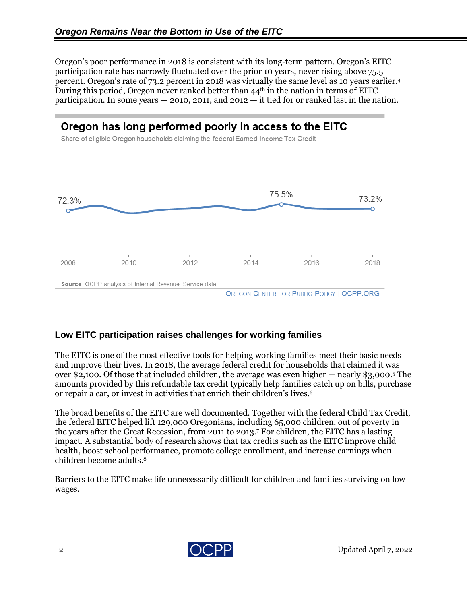Oregon's poor performance in 2018 is consistent with its long-term pattern. Oregon's EITC participation rate has narrowly fluctuated over the prior 10 years, never rising above 75.5 percent. Oregon's rate of 73.2 percent in 2018 was virtually the same level as 10 years earlier.<sup>4</sup> During this period, Oregon never ranked better than  $44<sup>th</sup>$  in the nation in terms of EITC participation. In some years  $-2010$ , 2011, and 2012  $-$  it tied for or ranked last in the nation.

## Oregon has long performed poorly in access to the EITC

Share of eligible Oregon households claiming the federal Earned Income Tax Credit



## **Low EITC participation raises challenges for working families**

The EITC is one of the most effective tools for helping working families meet their basic needs and improve their lives. In 2018, the average federal credit for households that claimed it was over \$2,100. Of those that included children, the average was even higher — nearly \$3,000. <sup>5</sup> The amounts provided by this refundable tax credit typically help families catch up on bills, purchase or repair a car, or invest in activities that enrich their children's lives. 6

The broad benefits of the EITC are well documented. Together with the federal Child Tax Credit, the federal EITC helped lift 129,000 Oregonians, including 65,000 children, out of poverty in the years after the Great Recession, from 2011 to 2013.<sup>7</sup> For children, the EITC has a lasting impact. A substantial body of research shows that tax credits such as the EITC improve child health, boost school performance, promote college enrollment, and increase earnings when children become adults.<sup>8</sup>

Barriers to the EITC make life unnecessarily difficult for children and families surviving on low wages.

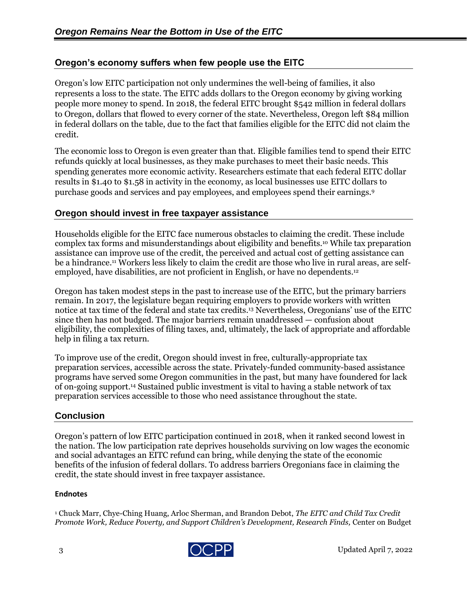## **Oregon's economy suffers when few people use the EITC**

Oregon's low EITC participation not only undermines the well-being of families, it also represents a loss to the state. The EITC adds dollars to the Oregon economy by giving working people more money to spend. In 2018, the federal EITC brought \$542 million in federal dollars to Oregon, dollars that flowed to every corner of the state. Nevertheless, Oregon left \$84 million in federal dollars on the table, due to the fact that families eligible for the EITC did not claim the credit.

The economic loss to Oregon is even greater than that. Eligible families tend to spend their EITC refunds quickly at local businesses, as they make purchases to meet their basic needs. This spending generates more economic activity. Researchers estimate that each federal EITC dollar results in \$1.40 to \$1.58 in activity in the economy, as local businesses use EITC dollars to purchase goods and services and pay employees, and employees spend their earnings.<sup>9</sup>

## **Oregon should invest in free taxpayer assistance**

Households eligible for the EITC face numerous obstacles to claiming the credit. These include complex tax forms and misunderstandings about eligibility and benefits.<sup>10</sup> While tax preparation assistance can improve use of the credit, the perceived and actual cost of getting assistance can be a hindrance.<sup>11</sup> Workers less likely to claim the credit are those who live in rural areas, are selfemployed, have disabilities, are not proficient in English, or have no dependents. 12

Oregon has taken modest steps in the past to increase use of the EITC, but the primary barriers remain. In 2017, the legislature began requiring employers to provide workers with written notice at tax time of the federal and state tax credits.<sup>13</sup> Nevertheless, Oregonians' use of the EITC since then has not budged. The major barriers remain unaddressed — confusion about eligibility, the complexities of filing taxes, and, ultimately, the lack of appropriate and affordable help in filing a tax return.

To improve use of the credit, Oregon should invest in free, culturally-appropriate tax preparation services, accessible across the state. Privately-funded community-based assistance programs have served some Oregon communities in the past, but many have foundered for lack of on-going support. <sup>14</sup> Sustained public investment is vital to having a stable network of tax preparation services accessible to those who need assistance throughout the state.

## **Conclusion**

Oregon's pattern of low EITC participation continued in 2018, when it ranked second lowest in the nation. The low participation rate deprives households surviving on low wages the economic and social advantages an EITC refund can bring, while denying the state of the economic benefits of the infusion of federal dollars. To address barriers Oregonians face in claiming the credit, the state should invest in free taxpayer assistance.

#### **Endnotes**

<sup>1</sup> Chuck Marr, Chye-Ching Huang, Arloc Sherman, and Brandon Debot, *The EITC and Child Tax Credit Promote Work, Reduce Poverty, and Support Children's Development, Research Finds,* Center on Budget

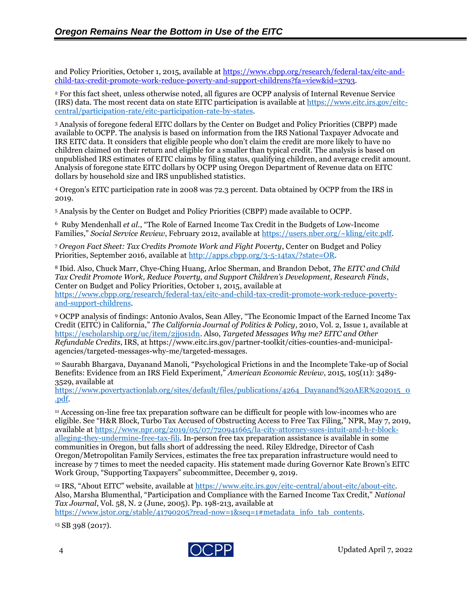and Policy Priorities, October 1, 2015, available at [https://www.cbpp.org/research/federal-tax/eitc-and](https://www.cbpp.org/research/federal-tax/eitc-and-child-tax-credit-promote-work-reduce-poverty-and-support-childrens?fa=view&id=3793)[child-tax-credit-promote-work-reduce-poverty-and-support-childrens?fa=view&id=3793.](https://www.cbpp.org/research/federal-tax/eitc-and-child-tax-credit-promote-work-reduce-poverty-and-support-childrens?fa=view&id=3793)

<sup>2</sup> For this fact sheet, unless otherwise noted, all figures are OCPP analysis of Internal Revenue Service (IRS) data. The most recent data on state EITC participation is available a[t https://www.eitc.irs.gov/eitc](https://www.eitc.irs.gov/eitc-central/participation-rate/eitc-participation-rate-by-states)[central/participation-rate/eitc-participation-rate-by-states.](https://www.eitc.irs.gov/eitc-central/participation-rate/eitc-participation-rate-by-states)

<sup>3</sup> Analysis of foregone federal EITC dollars by the Center on Budget and Policy Priorities (CBPP) made available to OCPP. The analysis is based on information from the IRS National Taxpayer Advocate and IRS EITC data. It considers that eligible people who don't claim the credit are more likely to have no children claimed on their return and eligible for a smaller than typical credit. The analysis is based on unpublished IRS estimates of EITC claims by filing status, qualifying children, and average credit amount. Analysis of foregone state EITC dollars by OCPP using Oregon Department of Revenue data on EITC dollars by household size and IRS unpublished statistics.

<sup>4</sup> Oregon's EITC participation rate in 2008 was 72.3 percent. Data obtained by OCPP from the IRS in 2019.

<sup>5</sup> Analysis by the Center on Budget and Policy Priorities (CBPP) made available to OCPP.

<sup>6</sup> Ruby Mendenhall *et al.*, "The Role of Earned Income Tax Credit in the Budgets of Low-Income Families," *Social Service Review*, February 2012, available at [https://users.nber.org/~kling/eitc.pdf.](https://users.nber.org/~kling/eitc.pdf)

<sup>7</sup> *Oregon Fact Sheet: Tax Credits Promote Work and Fight Poverty*, Center on Budget and Policy Priorities, September 2016, available at [http://apps.cbpp.org/3-5-14tax/?state=OR.](http://apps.cbpp.org/3-5-14tax/?state=OR)

<sup>8</sup> Ibid. Also, Chuck Marr, Chye-Ching Huang, Arloc Sherman, and Brandon Debot, *The EITC and Child Tax Credit Promote Work, Reduce Poverty, and Support Children's Development, Research Finds*, Center on Budget and Policy Priorities, October 1, 2015, available at [https://www.cbpp.org/research/federal-tax/eitc-and-child-tax-credit-promote-work-reduce-poverty](https://www.cbpp.org/research/federal-tax/eitc-and-child-tax-credit-promote-work-reduce-poverty-and-support-childrens)[and-support-childrens.](https://www.cbpp.org/research/federal-tax/eitc-and-child-tax-credit-promote-work-reduce-poverty-and-support-childrens)

<sup>9</sup> OCPP analysis of findings: Antonio Avalos, Sean Alley, "The Economic Impact of the Earned Income Tax Credit (EITC) in California," *The California Journal of Politics & Policy*, 2010, Vol. 2, Issue 1, available at [https://escholarship.org/uc/item/2jj0s1dn.](https://escholarship.org/uc/item/2jj0s1dn) Also, *Targeted Messages Why me? EITC and Other Refundable Credits*, IRS, at https://www.eitc.irs.gov/partner-toolkit/cities-counties-and-municipalagencies/targeted-messages-why-me/targeted-messages.

<sup>10</sup> Saurabh Bhargava, Dayanand Manoli, "Psychological Frictions in and the Incomplete Take-up of Social Benefits: Evidence from an IRS Field Experiment," *American Economic Review*, 2015, 105(11): 3489- 3529, available at

[https://www.povertyactionlab.org/sites/default/files/publications/4264\\_Dayanand%20AER%202015\\_0](https://www.povertyactionlab.org/sites/default/files/publications/4264_Dayanand%20AER%202015_0.pdf) [.pdf.](https://www.povertyactionlab.org/sites/default/files/publications/4264_Dayanand%20AER%202015_0.pdf)

<sup>11</sup> Accessing on-line free tax preparation software can be difficult for people with low-incomes who are eligible. See "H&R Block, Turbo Tax Accused of Obstructing Access to Free Tax Filing," NPR, May 7, 2019, available at [https://www.npr.org/2019/05/07/720941665/la-city-attorney-sues-intuit-and-h-r-block](https://www.npr.org/2019/05/07/720941665/la-city-attorney-sues-intuit-and-h-r-block-alleging-they-undermine-free-tax-fili)[alleging-they-undermine-free-tax-fili.](https://www.npr.org/2019/05/07/720941665/la-city-attorney-sues-intuit-and-h-r-block-alleging-they-undermine-free-tax-fili) In-person free tax preparation assistance is available in some communities in Oregon, but falls short of addressing the need. Riley Eldredge, Director of Cash Oregon/Metropolitan Family Services, estimates the free tax preparation infrastructure would need to increase by 7 times to meet the needed capacity. His statement made during Governor Kate Brown's EITC Work Group, "Supporting Taxpayers" subcommittee, December 9, 2019.

<sup>12</sup> IRS, "About EITC" website, available at [https://www.eitc.irs.gov/eitc-central/about-eitc/about-eitc.](https://www.eitc.irs.gov/eitc-central/about-eitc/about-eitc) Also, Marsha Blumenthal, "Participation and Compliance with the Earned Income Tax Credit," *National Tax Journal*, Vol. 58, N. 2 (June, 2005). Pp. 198-213, available at

[https://www.jstor.org/stable/41790205?read-now=1&seq=1#metadata\\_info\\_tab\\_contents.](https://www.jstor.org/stable/41790205?read-now=1&seq=1#metadata_info_tab_contents)

<sup>13</sup> SB 398 (2017).